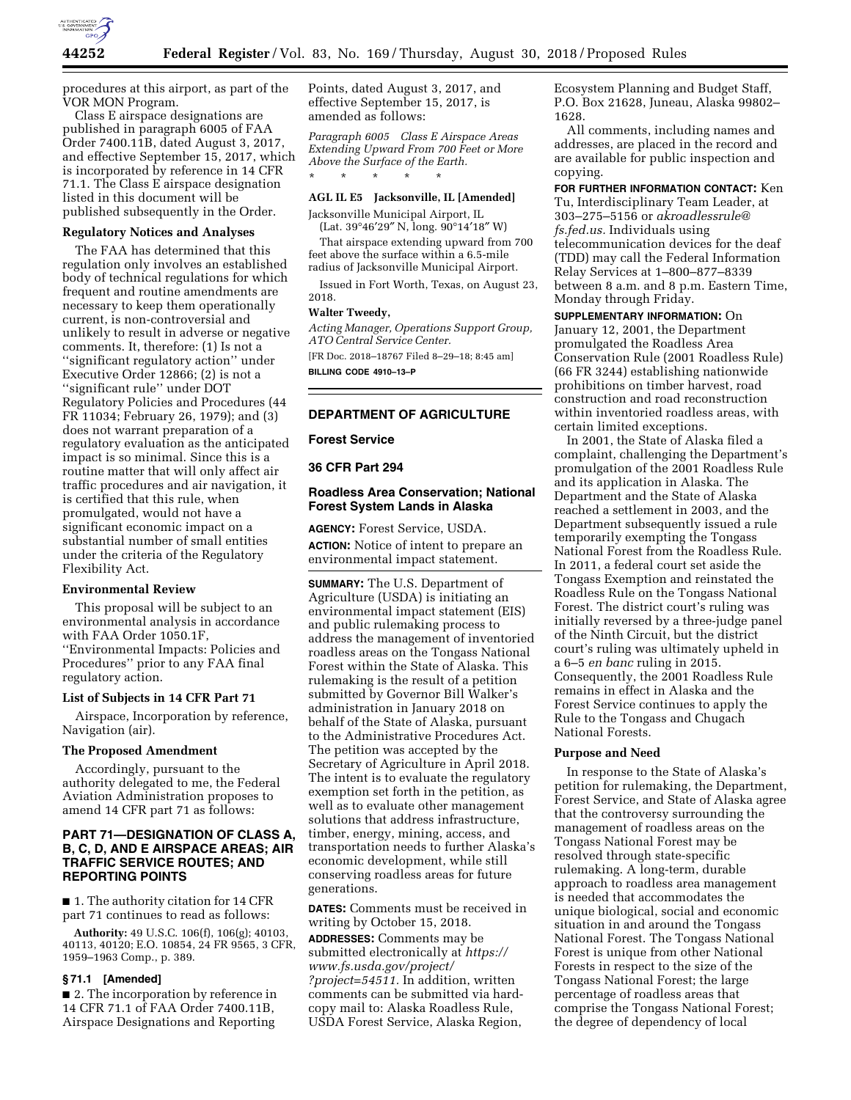

procedures at this airport, as part of the VOR MON Program.

Class E airspace designations are published in paragraph 6005 of FAA Order 7400.11B, dated August 3, 2017, and effective September 15, 2017, which is incorporated by reference in 14 CFR 71.1. The Class E airspace designation listed in this document will be published subsequently in the Order.

#### **Regulatory Notices and Analyses**

The FAA has determined that this regulation only involves an established body of technical regulations for which frequent and routine amendments are necessary to keep them operationally current, is non-controversial and unlikely to result in adverse or negative comments. It, therefore: (1) Is not a ''significant regulatory action'' under Executive Order 12866; (2) is not a ''significant rule'' under DOT Regulatory Policies and Procedures (44 FR 11034; February 26, 1979); and (3) does not warrant preparation of a regulatory evaluation as the anticipated impact is so minimal. Since this is a routine matter that will only affect air traffic procedures and air navigation, it is certified that this rule, when promulgated, would not have a significant economic impact on a substantial number of small entities under the criteria of the Regulatory Flexibility Act.

### **Environmental Review**

This proposal will be subject to an environmental analysis in accordance with FAA Order 1050.1F, ''Environmental Impacts: Policies and Procedures'' prior to any FAA final regulatory action.

# **List of Subjects in 14 CFR Part 71**

Airspace, Incorporation by reference, Navigation (air).

#### **The Proposed Amendment**

Accordingly, pursuant to the authority delegated to me, the Federal Aviation Administration proposes to amend 14 CFR part 71 as follows:

## **PART 71—DESIGNATION OF CLASS A, B, C, D, AND E AIRSPACE AREAS; AIR TRAFFIC SERVICE ROUTES; AND REPORTING POINTS**

■ 1. The authority citation for 14 CFR part 71 continues to read as follows:

**Authority:** 49 U.S.C. 106(f), 106(g); 40103, 40113, 40120; E.O. 10854, 24 FR 9565, 3 CFR, 1959–1963 Comp., p. 389.

### **§ 71.1 [Amended]**

■ 2. The incorporation by reference in 14 CFR 71.1 of FAA Order 7400.11B, Airspace Designations and Reporting

Points, dated August 3, 2017, and effective September 15, 2017, is amended as follows:

*Paragraph 6005 Class E Airspace Areas Extending Upward From 700 Feet or More Above the Surface of the Earth.*  \* \* \* \* \*

### **AGL IL E5 Jacksonville, IL [Amended]**

Jacksonville Municipal Airport, IL  $(Lat. 39°46'29'' N, long. 90°14'18'' W)$ 

That airspace extending upward from 700 feet above the surface within a 6.5-mile radius of Jacksonville Municipal Airport.

Issued in Fort Worth, Texas, on August 23, 2018.

#### **Walter Tweedy,**

*Acting Manager, Operations Support Group, ATO Central Service Center.*  [FR Doc. 2018–18767 Filed 8–29–18; 8:45 am] **BILLING CODE 4910–13–P** 

## **DEPARTMENT OF AGRICULTURE**

### **Forest Service**

### **36 CFR Part 294**

### **Roadless Area Conservation; National Forest System Lands in Alaska**

**AGENCY:** Forest Service, USDA. **ACTION:** Notice of intent to prepare an environmental impact statement.

**SUMMARY:** The U.S. Department of Agriculture (USDA) is initiating an environmental impact statement (EIS) and public rulemaking process to address the management of inventoried roadless areas on the Tongass National Forest within the State of Alaska. This rulemaking is the result of a petition submitted by Governor Bill Walker's administration in January 2018 on behalf of the State of Alaska, pursuant to the Administrative Procedures Act. The petition was accepted by the Secretary of Agriculture in April 2018. The intent is to evaluate the regulatory exemption set forth in the petition, as well as to evaluate other management solutions that address infrastructure, timber, energy, mining, access, and transportation needs to further Alaska's economic development, while still conserving roadless areas for future generations.

**DATES:** Comments must be received in writing by October 15, 2018.

**ADDRESSES:** Comments may be submitted electronically at *[https://](https://www.fs.usda.gov/project/?project=54511) [www.fs.usda.gov/project/](https://www.fs.usda.gov/project/?project=54511)  [?project=54511.](https://www.fs.usda.gov/project/?project=54511)* In addition, written comments can be submitted via hardcopy mail to: Alaska Roadless Rule, USDA Forest Service, Alaska Region,

Ecosystem Planning and Budget Staff, P.O. Box 21628, Juneau, Alaska 99802– 1628.

All comments, including names and addresses, are placed in the record and are available for public inspection and copying.

**FOR FURTHER INFORMATION CONTACT:** Ken Tu, Interdisciplinary Team Leader, at 303–275–5156 or *[akroadlessrule@](mailto:akroadlessrule@fs.fed.us) [fs.fed.us.](mailto:akroadlessrule@fs.fed.us)* Individuals using telecommunication devices for the deaf (TDD) may call the Federal Information Relay Services at 1–800–877–8339 between 8 a.m. and 8 p.m. Eastern Time, Monday through Friday.

**SUPPLEMENTARY INFORMATION:** On January 12, 2001, the Department promulgated the Roadless Area Conservation Rule (2001 Roadless Rule) (66 FR 3244) establishing nationwide prohibitions on timber harvest, road construction and road reconstruction within inventoried roadless areas, with certain limited exceptions.

In 2001, the State of Alaska filed a complaint, challenging the Department's promulgation of the 2001 Roadless Rule and its application in Alaska. The Department and the State of Alaska reached a settlement in 2003, and the Department subsequently issued a rule temporarily exempting the Tongass National Forest from the Roadless Rule. In 2011, a federal court set aside the Tongass Exemption and reinstated the Roadless Rule on the Tongass National Forest. The district court's ruling was initially reversed by a three-judge panel of the Ninth Circuit, but the district court's ruling was ultimately upheld in a 6–5 *en banc* ruling in 2015. Consequently, the 2001 Roadless Rule remains in effect in Alaska and the Forest Service continues to apply the Rule to the Tongass and Chugach National Forests.

## **Purpose and Need**

In response to the State of Alaska's petition for rulemaking, the Department, Forest Service, and State of Alaska agree that the controversy surrounding the management of roadless areas on the Tongass National Forest may be resolved through state-specific rulemaking. A long-term, durable approach to roadless area management is needed that accommodates the unique biological, social and economic situation in and around the Tongass National Forest. The Tongass National Forest is unique from other National Forests in respect to the size of the Tongass National Forest; the large percentage of roadless areas that comprise the Tongass National Forest; the degree of dependency of local